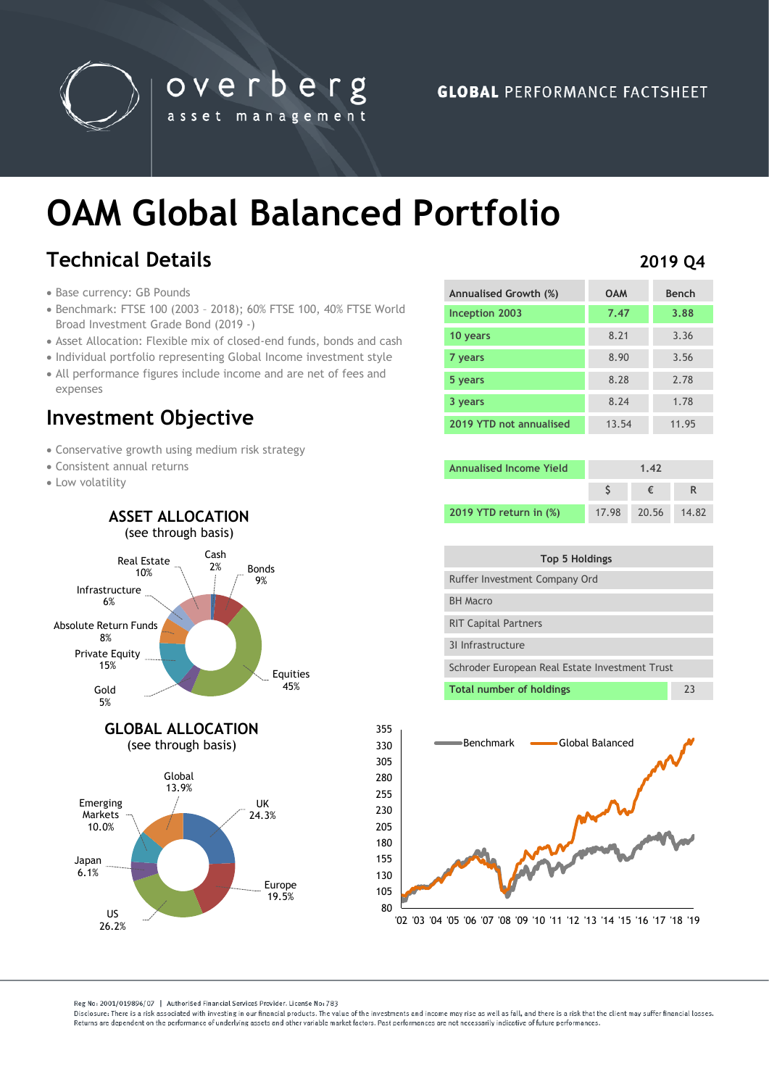

overberg asset management

# **OAM Global Balanced Portfolio**

## **Technical Details 2019 Q4**

- Base currency: GB Pounds
- Benchmark: FTSE 100 (2003 2018); 60% FTSE 100, 40% FTSE World Broad Investment Grade Bond (2019 -)
- Asset Allocation: Flexible mix of closed-end funds, bonds and cash
- Individual portfolio representing Global Income investment style
- All performance figures include income and are net of fees and expenses

### **Investment Objective**

- Conservative growth using medium risk strategy
- Consistent annual returns
- Low volatility





| Annualised Growth (%)   | <b>OAM</b> | Bench |
|-------------------------|------------|-------|
| Inception 2003          | 7.47       | 3.88  |
| 10 years                | 8.21       | 3.36  |
| 7 years                 | 8.90       | 3.56  |
| 5 years                 | 8.28       | 2.78  |
| 3 years                 | 8.24       | 1.78  |
| 2019 YTD not annualised | 13.54      | 11.95 |

| <b>Annualised Income Yield</b> | 1.42  |       |       |
|--------------------------------|-------|-------|-------|
|                                |       |       |       |
| 2019 YTD return in (%)         | 17.98 | 20.56 | 14.87 |

| Top 5 Holdings                                 |    |  |
|------------------------------------------------|----|--|
| Ruffer Investment Company Ord                  |    |  |
| <b>BH</b> Macro                                |    |  |
| <b>RIT Capital Partners</b>                    |    |  |
| 31 Infrastructure                              |    |  |
| Schroder European Real Estate Investment Trust |    |  |
| Total number of holdings                       | 73 |  |



'02 '03 '04 '05 '06 '07 '08 '09 '10 '11 '12 '13 '14 '15 '16 '17 '18 '19

Reg No: 2001/019896/07 | Authorised Financial Services Provider, License No: 783

Disclosure: There is a risk associated with investing in our financial products. The value of the investments and income may rise as well as fall, and there is a risk that the client may suffer financial losses Beturns are dependent on the performance of underlying assets and other variable market factors. Past performances are not necessarily indicative of future performances.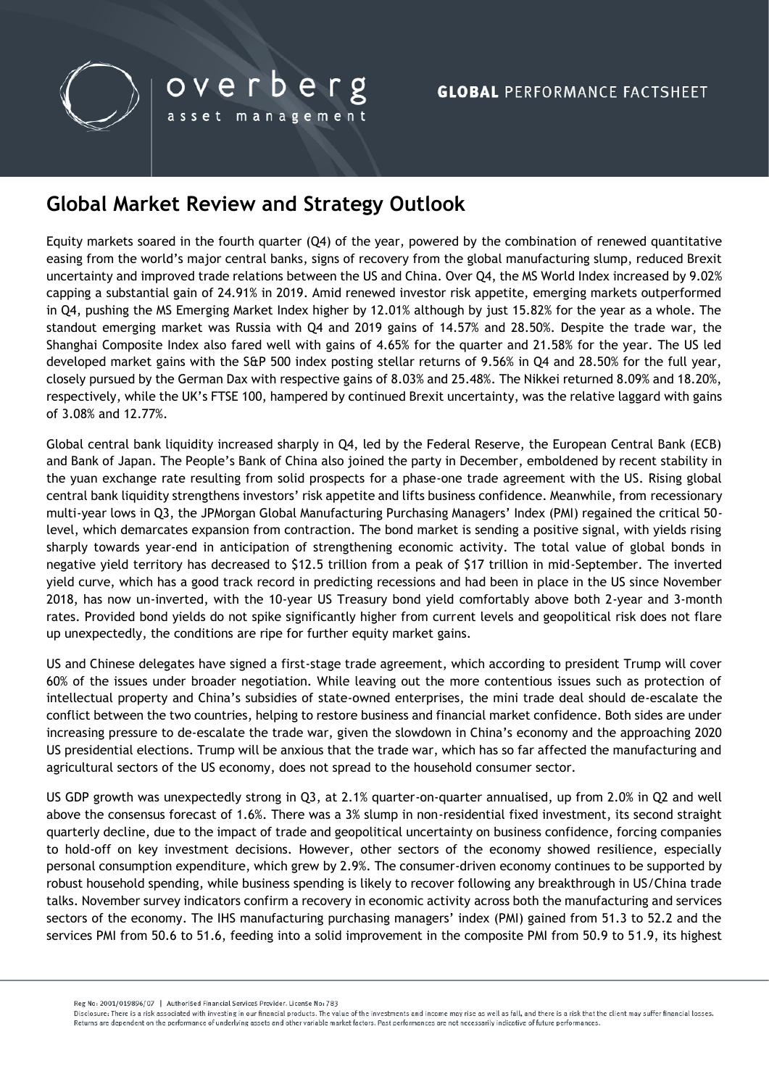

### **Global Market Review and Strategy Outlook**

Equity markets soared in the fourth quarter  $(Q4)$  of the year, powered by the combination of renewed quantitative easing from the world's major central banks, signs of recovery from the global manufacturing slump, reduced Brexit uncertainty and improved trade relations between the US and China. Over Q4, the MS World Index increased by 9.02% capping a substantial gain of 24.91% in 2019. Amid renewed investor risk appetite, emerging markets outperformed in Q4, pushing the MS Emerging Market Index higher by 12.01% although by just 15.82% for the year as a whole. The standout emerging market was Russia with Q4 and 2019 gains of 14.57% and 28.50%. Despite the trade war, the Shanghai Composite Index also fared well with gains of 4.65% for the quarter and 21.58% for the year. The US led developed market gains with the S&P 500 index posting stellar returns of 9.56% in Q4 and 28.50% for the full year, closely pursued by the German Dax with respective gains of 8.03% and 25.48%. The Nikkei returned 8.09% and 18.20%, respectively, while the UK's FTSE 100, hampered by continued Brexit uncertainty, was the relative laggard with gains of 3.08% and 12.77%.

Global central bank liquidity increased sharply in Q4, led by the Federal Reserve, the European Central Bank (ECB) and Bank of Japan. The People's Bank of China also joined the party in December, emboldened by recent stability in the yuan exchange rate resulting from solid prospects for a phase-one trade agreement with the US. Rising global central bank liquidity strengthens investors' risk appetite and lifts business confidence. Meanwhile, from recessionary multi-year lows in Q3, the JPMorgan Global Manufacturing Purchasing Managers' Index (PMI) regained the critical 50 level, which demarcates expansion from contraction. The bond market is sending a positive signal, with yields rising sharply towards year-end in anticipation of strengthening economic activity. The total value of global bonds in negative yield territory has decreased to \$12.5 trillion from a peak of \$17 trillion in mid-September. The inverted yield curve, which has a good track record in predicting recessions and had been in place in the US since November 2018, has now un-inverted, with the 10-year US Treasury bond yield comfortably above both 2-year and 3-month rates. Provided bond yields do not spike significantly higher from current levels and geopolitical risk does not flare up unexpectedly, the conditions are ripe for further equity market gains.

US and Chinese delegates have signed a first-stage trade agreement, which according to president Trump will cover 60% of the issues under broader negotiation. While leaving out the more contentious issues such as protection of intellectual property and China's subsidies of state-owned enterprises, the mini trade deal should de-escalate the conflict between the two countries, helping to restore business and financial market confidence. Both sides are under increasing pressure to de-escalate the trade war, given the slowdown in China's economy and the approaching 2020 US presidential elections. Trump will be anxious that the trade war, which has so far affected the manufacturing and agricultural sectors of the US economy, does not spread to the household consumer sector.

US GDP growth was unexpectedly strong in Q3, at 2.1% quarter-on-quarter annualised, up from 2.0% in Q2 and well above the consensus forecast of 1.6%. There was a 3% slump in non-residential fixed investment, its second straight quarterly decline, due to the impact of trade and geopolitical uncertainty on business confidence, forcing companies to hold-off on key investment decisions. However, other sectors of the economy showed resilience, especially personal consumption expenditure, which grew by 2.9%. The consumer-driven economy continues to be supported by robust household spending, while business spending is likely to recover following any breakthrough in US/China trade talks. November survey indicators confirm a recovery in economic activity across both the manufacturing and services sectors of the economy. The IHS manufacturing purchasing managers' index (PMI) gained from 51.3 to 52.2 and the services PMI from 50.6 to 51.6, feeding into a solid improvement in the composite PMI from 50.9 to 51.9, its highest

Reg No: 2001/019896/07 | Authorised Financial Services Provider, License No: 783

Disclosure: There is a risk associated with investing in our financial products. The value of the investments and income may rise as well as fall, and there is a risk that the client may suffer financial losses Returns are dependent on the performance of underlying assets and other variable market factors. Past performances are not necessarily indicative of future performances.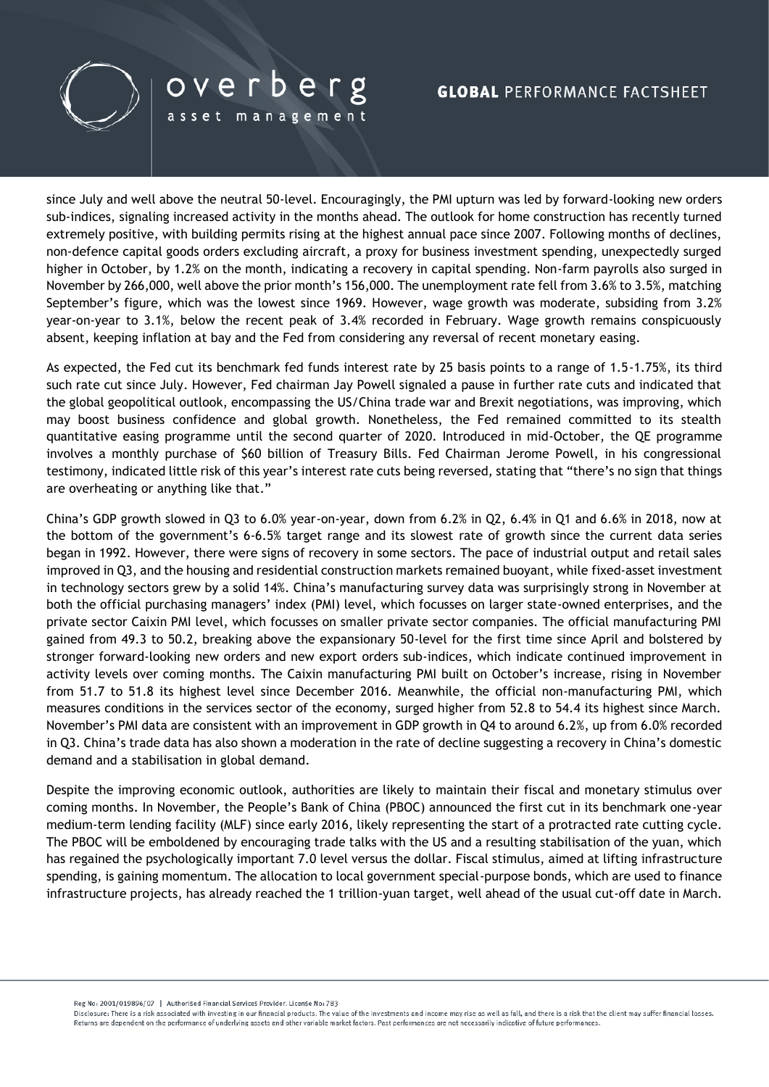

# overberg

asset management

#### **GLOBAL PERFORMANCE FACTSHEET**

since July and well above the neutral 50-level. Encouragingly, the PMI upturn was led by forward-looking new orders sub-indices, signaling increased activity in the months ahead. The outlook for home construction has recently turned extremely positive, with building permits rising at the highest annual pace since 2007. Following months of declines, non-defence capital goods orders excluding aircraft, a proxy for business investment spending, unexpectedly surged higher in October, by 1.2% on the month, indicating a recovery in capital spending. Non-farm payrolls also surged in November by 266,000, well above the prior month's 156,000. The unemployment rate fell from 3.6% to 3.5%, matching September's figure, which was the lowest since 1969. However, wage growth was moderate, subsiding from 3.2% year-on-year to 3.1%, below the recent peak of 3.4% recorded in February. Wage growth remains conspicuously absent, keeping inflation at bay and the Fed from considering any reversal of recent monetary easing.

As expected, the Fed cut its benchmark fed funds interest rate by 25 basis points to a range of 1.5-1.75%, its third such rate cut since July. However, Fed chairman Jay Powell signaled a pause in further rate cuts and indicated that the global geopolitical outlook, encompassing the US/China trade war and Brexit negotiations, was improving, which may boost business confidence and global growth. Nonetheless, the Fed remained committed to its stealth quantitative easing programme until the second quarter of 2020. Introduced in mid-October, the QE programme involves a monthly purchase of \$60 billion of Treasury Bills. Fed Chairman Jerome Powell, in his congressional testimony, indicated little risk of this year's interest rate cuts being reversed, stating that "there's no sign that things are overheating or anything like that."

China's GDP growth slowed in Q3 to 6.0% year-on-year, down from 6.2% in Q2, 6.4% in Q1 and 6.6% in 2018, now at the bottom of the government's 6-6.5% target range and its slowest rate of growth since the current data series began in 1992. However, there were signs of recovery in some sectors. The pace of industrial output and retail sales improved in Q3, and the housing and residential construction markets remained buoyant, while fixed-asset investment in technology sectors grew by a solid 14%. China's manufacturing survey data was surprisingly strong in November at both the official purchasing managers' index (PMI) level, which focusses on larger state-owned enterprises, and the private sector Caixin PMI level, which focusses on smaller private sector companies. The official manufacturing PMI gained from 49.3 to 50.2, breaking above the expansionary 50-level for the first time since April and bolstered by stronger forward-looking new orders and new export orders sub-indices, which indicate continued improvement in activity levels over coming months. The Caixin manufacturing PMI built on October's increase, rising in November from 51.7 to 51.8 its highest level since December 2016. Meanwhile, the official non-manufacturing PMI, which measures conditions in the services sector of the economy, surged higher from 52.8 to 54.4 its highest since March. November's PMI data are consistent with an improvement in GDP growth in Q4 to around 6.2%, up from 6.0% recorded in Q3. China's trade data has also shown a moderation in the rate of decline suggesting a recovery in China's domestic demand and a stabilisation in global demand.

Despite the improving economic outlook, authorities are likely to maintain their fiscal and monetary stimulus over coming months. In November, the People's Bank of China (PBOC) announced the first cut in its benchmark one-year medium-term lending facility (MLF) since early 2016, likely representing the start of a protracted rate cutting cycle. The PBOC will be emboldened by encouraging trade talks with the US and a resulting stabilisation of the yuan, which has regained the psychologically important 7.0 level versus the dollar. Fiscal stimulus, aimed at lifting infrastructure spending, is gaining momentum. The allocation to local government special-purpose bonds, which are used to finance infrastructure projects, has already reached the 1 trillion-yuan target, well ahead of the usual cut-off date in March.

Reg No: 2001/019896/07 | Authorised Financial Services Provider, License No: 783

Disclosure: There is a risk associated with investing in our financial products. The value of the investments and income may rise as well as fall, and there is a risk that the client may suffer financial losses Returns are dependent on the performance of underlying assets and other variable market factors. Past performances are not necessarily indicative of future performances.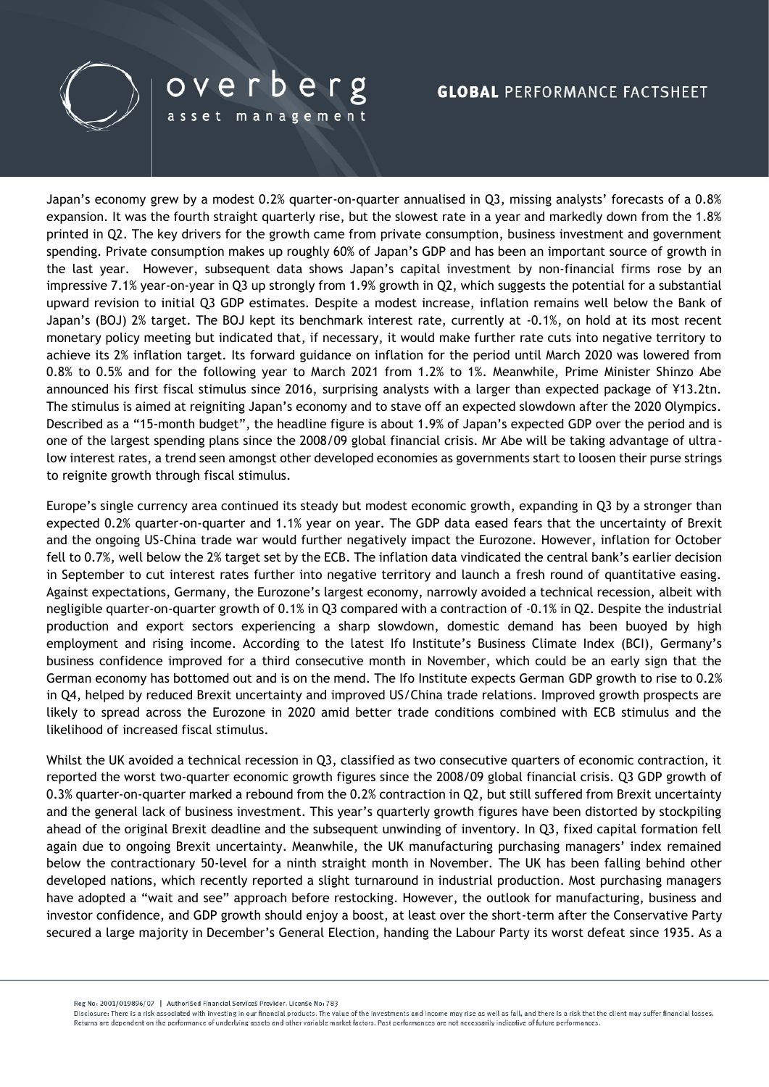

# overberg

asset management

### **GLOBAL PERFORMANCE FACTSHEET**

Japan's economy grew by a modest 0.2% quarter-on-quarter annualised in Q3, missing analysts' forecasts of a 0.8% expansion. It was the fourth straight quarterly rise, but the slowest rate in a year and markedly down from the 1.8% printed in Q2. The key drivers for the growth came from private consumption, business investment and government spending. Private consumption makes up roughly 60% of Japan's GDP and has been an important source of growth in the last year. However, subsequent data shows Japan's capital investment by non-financial firms rose by an impressive 7.1% year-on-year in Q3 up strongly from 1.9% growth in Q2, which suggests the potential for a substantial upward revision to initial Q3 GDP estimates. Despite a modest increase, inflation remains well below the Bank of Japan's (BOJ) 2% target. The BOJ kept its benchmark interest rate, currently at -0.1%, on hold at its most recent monetary policy meeting but indicated that, if necessary, it would make further rate cuts into negative territory to achieve its 2% inflation target. Its forward guidance on inflation for the period until March 2020 was lowered from 0.8% to 0.5% and for the following year to March 2021 from 1.2% to 1%. Meanwhile, Prime Minister Shinzo Abe announced his first fiscal stimulus since 2016, surprising analysts with a larger than expected package of ¥13.2tn. The stimulus is aimed at reigniting Japan's economy and to stave off an expected slowdown after the 2020 Olympics. Described as a "15-month budget", the headline figure is about 1.9% of Japan's expected GDP over the period and is one of the largest spending plans since the 2008/09 global financial crisis. Mr Abe will be taking advantage of ultralow interest rates, a trend seen amongst other developed economies as governments start to loosen their purse strings to reignite growth through fiscal stimulus.

Europe's single currency area continued its steady but modest economic growth, expanding in Q3 by a stronger than expected 0.2% quarter-on-quarter and 1.1% year on year. The GDP data eased fears that the uncertainty of Brexit and the ongoing US-China trade war would further negatively impact the Eurozone. However, inflation for October fell to 0.7%, well below the 2% target set by the ECB. The inflation data vindicated the central bank's earlier decision in September to cut interest rates further into negative territory and launch a fresh round of quantitative easing. Against expectations, Germany, the Eurozone's largest economy, narrowly avoided a technical recession, albeit with negligible quarter-on-quarter growth of 0.1% in Q3 compared with a contraction of -0.1% in Q2. Despite the industrial production and export sectors experiencing a sharp slowdown, domestic demand has been buoyed by high employment and rising income. According to the latest Ifo Institute's Business Climate Index (BCI), Germany's business confidence improved for a third consecutive month in November, which could be an early sign that the German economy has bottomed out and is on the mend. The Ifo Institute expects German GDP growth to rise to 0.2% in Q4, helped by reduced Brexit uncertainty and improved US/China trade relations. Improved growth prospects are likely to spread across the Eurozone in 2020 amid better trade conditions combined with ECB stimulus and the likelihood of increased fiscal stimulus.

Whilst the UK avoided a technical recession in Q3, classified as two consecutive quarters of economic contraction, it reported the worst two-quarter economic growth figures since the 2008/09 global financial crisis. Q3 GDP growth of 0.3% quarter-on-quarter marked a rebound from the 0.2% contraction in Q2, but still suffered from Brexit uncertainty and the general lack of business investment. This year's quarterly growth figures have been distorted by stockpiling ahead of the original Brexit deadline and the subsequent unwinding of inventory. In Q3, fixed capital formation fell again due to ongoing Brexit uncertainty. Meanwhile, the UK manufacturing purchasing managers' index remained below the contractionary 50-level for a ninth straight month in November. The UK has been falling behind other developed nations, which recently reported a slight turnaround in industrial production. Most purchasing managers have adopted a "wait and see" approach before restocking. However, the outlook for manufacturing, business and investor confidence, and GDP growth should enjoy a boost, at least over the short-term after the Conservative Party secured a large majority in December's General Election, handing the Labour Party its worst defeat since 1935. As a

Reg No: 2001/019896/07 | Authorised Financial Services Provider, License No: 783

Disclosure: There is a risk associated with investing in our financial products. The value of the investments and income may rise as well as fall, and there is a risk that the client may suffer financial losses Returns are dependent on the performance of underlying assets and other variable market factors. Past performances are not necessarily indicative of future performances.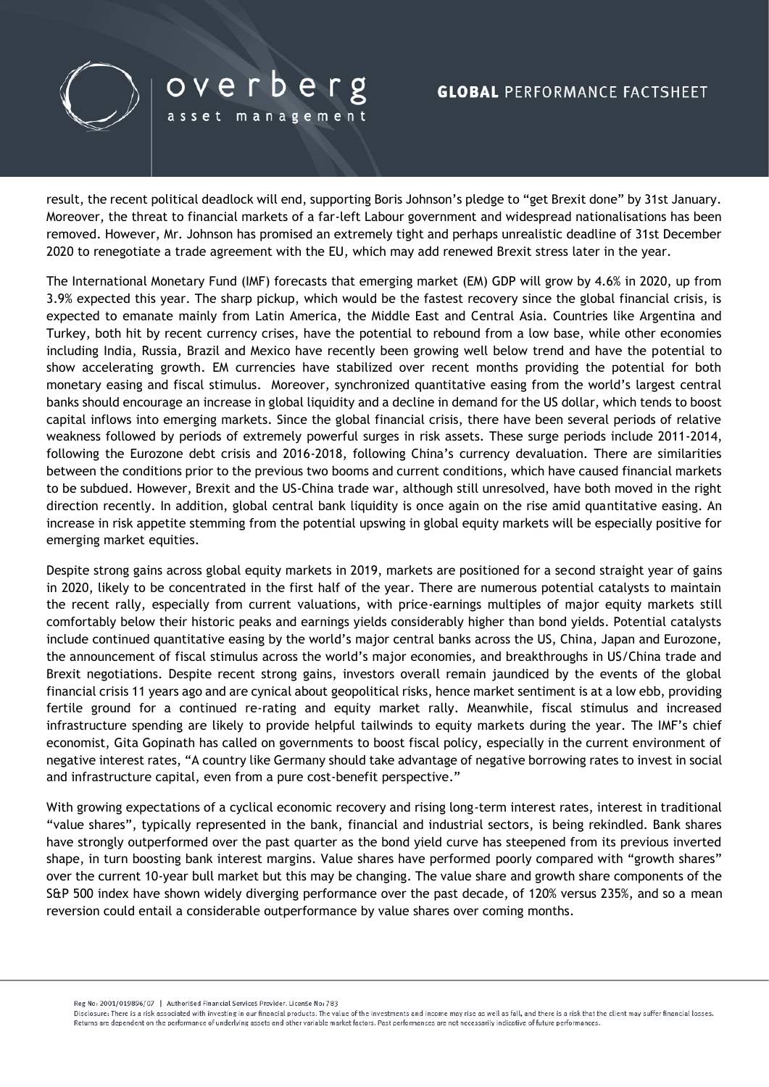

#### overberg **GLOBAL PERFORMANCE FACTSHEET**

result, the recent political deadlock will end, supporting Boris Johnson's pledge to "get Brexit done" by 31st January. Moreover, the threat to financial markets of a far-left Labour government and widespread nationalisations has been removed. However, Mr. Johnson has promised an extremely tight and perhaps unrealistic deadline of 31st December 2020 to renegotiate a trade agreement with the EU, which may add renewed Brexit stress later in the year.

asset management

The International Monetary Fund (IMF) forecasts that emerging market (EM) GDP will grow by 4.6% in 2020, up from 3.9% expected this year. The sharp pickup, which would be the fastest recovery since the global financial crisis, is expected to emanate mainly from Latin America, the Middle East and Central Asia. Countries like Argentina and Turkey, both hit by recent currency crises, have the potential to rebound from a low base, while other economies including India, Russia, Brazil and Mexico have recently been growing well below trend and have the potential to show accelerating growth. EM currencies have stabilized over recent months providing the potential for both monetary easing and fiscal stimulus. Moreover, synchronized quantitative easing from the world's largest central banks should encourage an increase in global liquidity and a decline in demand for the US dollar, which tends to boost capital inflows into emerging markets. Since the global financial crisis, there have been several periods of relative weakness followed by periods of extremely powerful surges in risk assets. These surge periods include 2011-2014, following the Eurozone debt crisis and 2016-2018, following China's currency devaluation. There are similarities between the conditions prior to the previous two booms and current conditions, which have caused financial markets to be subdued. However, Brexit and the US-China trade war, although still unresolved, have both moved in the right direction recently. In addition, global central bank liquidity is once again on the rise amid quantitative easing. An increase in risk appetite stemming from the potential upswing in global equity markets will be especially positive for emerging market equities.

Despite strong gains across global equity markets in 2019, markets are positioned for a second straight year of gains in 2020, likely to be concentrated in the first half of the year. There are numerous potential catalysts to maintain the recent rally, especially from current valuations, with price-earnings multiples of major equity markets still comfortably below their historic peaks and earnings yields considerably higher than bond yields. Potential catalysts include continued quantitative easing by the world's major central banks across the US, China, Japan and Eurozone, the announcement of fiscal stimulus across the world's major economies, and breakthroughs in US/China trade and Brexit negotiations. Despite recent strong gains, investors overall remain jaundiced by the events of the global financial crisis 11 years ago and are cynical about geopolitical risks, hence market sentiment is at a low ebb, providing fertile ground for a continued re-rating and equity market rally. Meanwhile, fiscal stimulus and increased infrastructure spending are likely to provide helpful tailwinds to equity markets during the year. The IMF's chief economist, Gita Gopinath has called on governments to boost fiscal policy, especially in the current environment of negative interest rates, "A country like Germany should take advantage of negative borrowing rates to invest in social and infrastructure capital, even from a pure cost-benefit perspective."

With growing expectations of a cyclical economic recovery and rising long-term interest rates, interest in traditional "value shares", typically represented in the bank, financial and industrial sectors, is being rekindled. Bank shares have strongly outperformed over the past quarter as the bond yield curve has steepened from its previous inverted shape, in turn boosting bank interest margins. Value shares have performed poorly compared with "growth shares" over the current 10-year bull market but this may be changing. The value share and growth share components of the S&P 500 index have shown widely diverging performance over the past decade, of 120% versus 235%, and so a mean reversion could entail a considerable outperformance by value shares over coming months.

Reg No: 2001/019896/07 | Authorised Financial Services Provider, License No: 783

Disclosure: There is a risk associated with investing in our financial products. The value of the investments and income may rise as well as fall, and there is a risk that the client may suffer financial losses Returns are dependent on the performance of underlying assets and other variable market factors. Past performances are not necessarily indicative of future performances.